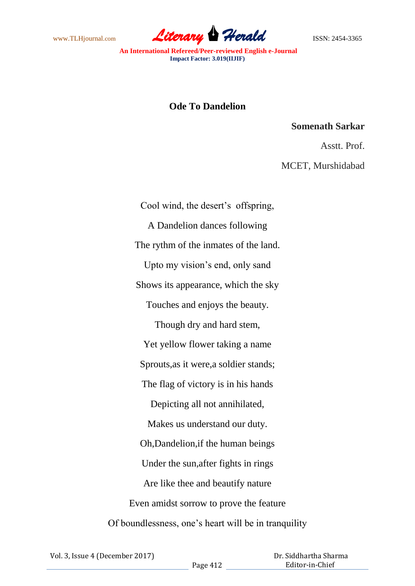www.TLHjournal.com **Literary Herald Herald** ISSN: 2454-3365

**An International Refereed/Peer-reviewed English e-Journal Impact Factor: 3.019(IIJIF)**

## **Ode To Dandelion**

## **Somenath Sarkar**

Asstt. Prof.

MCET, Murshidabad

Cool wind, the desert's offspring, A Dandelion dances following The rythm of the inmates of the land. Upto my vision's end, only sand Shows its appearance, which the sky Touches and enjoys the beauty. Though dry and hard stem, Yet yellow flower taking a name Sprouts,as it were,a soldier stands; The flag of victory is in his hands Depicting all not annihilated, Makes us understand our duty. Oh,Dandelion,if the human beings Under the sun,after fights in rings Are like thee and beautify nature Even amidst sorrow to prove the feature Of boundlessness, one's heart will be in tranquility